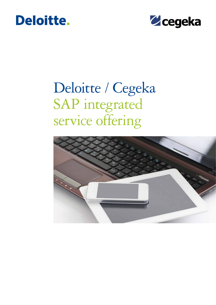### Deloitte.



# Deloitte / Cegeka SAP integrated service offering

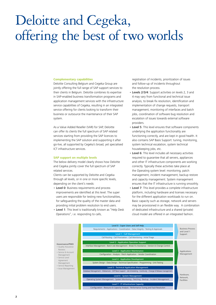## Deloitte and Cegeka, offering the best of two worlds

#### **Complementary capabilities**

Deloitte Consulting Belgium and Cegeka Group are jointly offering the full range of SAP support services to their clients in Belgium. Deloitte combines its expertise in SAP-enabled business transformation programs and application management services with the infrastructure service capabilities of Cegeka, resulting in an integrated service offering for clients looking to transform their business or outsource the maintenance of their SAP system.

As a Value Added Reseller (VAR) for SAP, Deloitte can offer its clients the full spectrum of SAP related services starting from providing the SAP licences to implementing the SAP solution and supporting it after go-live, all supported by Cegeka's broad, yet specialised ICT infrastructure services.

#### **SAP support on multiple levels**

The below delivery model clearly shows how Deloitte and Cegeka jointly cover the full spectrum of SAP related services.

Clients can be supported by Deloitte and Cegeka through all levels, or in one or more specific levels, depending on the client's needs:

- Level 0: Business requirements and process improvements are identified at this level. The super users are responsible for testing new functionalities, for safeguarding the quality of the master data and providing initial problem resolution to end users.
- Level 1: This level is traditionally known as "Help Desk Operations", i.e. responding to calls,

registration of incidents, prioritization of issues and follow-up of incidents throughout the resolution process.

- Levels 2/3/4: Support activities on levels 2, 3 and 4 may vary from functional and technical issue analysis, to break-fix resolution, identification and implementation of change requests, transport management, monitoring of interfaces and batch jobs, coordination of software bug resolution and escalation of issues towards external software providers.
- Level 5: This level ensures that software components underlying the application functionality are functioning correctly, and are kept in good health. It also contains SAP Basis Support: tuning, monitoring, system technical escalation, system technical housekeeping jobs, etc.
- Level 6: This level includes all necessary activities required to guarantee that all servers, appliances and other IT infrastructure components are working correctly. Typically these activities take place at the Operating system level: monitoring, patch management, incident management, backup restore and capacity management. System management ensures that the IT infrastructure is running smoothly.
- Level 7: This level provides a complete infrastructure platform, including hardware and licenses necessary for the different application workloads to run on. Basic capacity such as storage, network and servers may be provisioned in an flexible way. A combination of dedicated infrastructure and a shared (private) cloud model are offered in an integrated fashion.

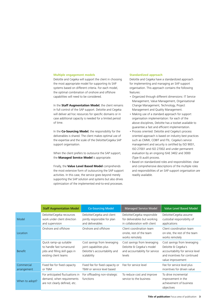#### **Multiple engagement models**

Deloitte and Cegeka will support the client in choosing the most appropriate model for supporting its SAP systems based on different criteria. For each model, the optimal combination of onshore and offshore capabilities will need to be considered.

In the **Staff Augmentation Model**, the client remains in full control of the SAP support. Deloitte and Cegeka will deliver ad hoc resources for specific domains or in case additional capacity is needed for a limited period of time.

In the **Co-Sourcing Model**, the responsibility for the deliverables is shared. The client makes optimal use of the expertise and the scale of the Deloitte/Cegeka SAP support organisation.

When the client prefers to outsource the SAP support, the **Managed Service Model** is appropriate.

Finally, the **Value Level Based Model** comprehends the most extensive form of outsourcing the SAP support activities. In this case, the service goes beyond merely supporting the SAP solution and systems but also drives optimization of the implemented end-to-end processes.

#### **Standardized approach**

Deloitte and Cegeka have a standardized approach for implementing and managing an SAP support organisation. This approach contains the following features:

- Organized through different dimensions: IT Service Management, Value Management, Organisational Change Management, Technology, Project Management and Quality Management.
- Making use of a standard approach for support organisation implementation: for each of the above disciplines, Deloitte has a toolset available to guarantee a fast and efficient implementation.
- Process oriented: Deloitte and Cegeka's process oriented approach is based on industry best practices such as CMMI, COBIT and ITIL. Cegeka's service management and security is certified by ISO 9001, ISO 27001 and ISO 27002 and under permanent evaluation by an ongoing ISAE 3402 and 3000 (Type II) audit process.
- Based on standardized roles and responsibilities: clear and comprehensive descriptions of the multiple roles and responsibilities of an SAP support organisation are readily available.

|                           | <b>Staff Augmentation Model</b>                                                                                | <b>Co-Sourcing Model</b>                                                                                | <b>Managed Service Model</b>                                                                          | Value Level Based Model                                                                                                                      |
|---------------------------|----------------------------------------------------------------------------------------------------------------|---------------------------------------------------------------------------------------------------------|-------------------------------------------------------------------------------------------------------|----------------------------------------------------------------------------------------------------------------------------------------------|
| Model                     | Deloitte/Cegeka recources<br>work under client direction<br>and supervision                                    | Deloitte/Cegeka and client<br>jointly responsible for plan<br>and deliverables                          | Deloitte/Cegeka responsible<br>for deliverables but working<br>in collaboration with client           | Deloitte/Cegeka assume<br>custodial responsibility of<br>applications                                                                        |
| Location                  | Onshore and offshore                                                                                           | Onshore and offshore                                                                                    | Client coordination team<br>onsite, rest of the team<br>works remotely                                | Client coordination team<br>on-site, the rest of the team<br>works remotely                                                                  |
| <b>Benefit</b>            | Quick ramp-up suitable<br>to handle fast turnaround<br>jobs and filling skill gaps in<br>existing client teams | Cost savings from leveraging<br>joint capabilities plus<br>Deloitte's accountability and<br>scalability | Cost savings from leveraging<br>Deloitte & Cegeka's model<br>and accountability for service<br>levels | Cost savings from leveraging<br>Deloitte & Cegeka's<br>accountability for service level<br>and incentives for continued<br>value improvement |
| Commercial<br>arrangement | Fixed fee for fixed capacity<br>or T&M                                                                         | Fixed fee for fixed capacity or<br>T&M or service level based                                           | Fee for service level                                                                                 | Fee for service level plus<br>incentives for driven value                                                                                    |
| When to adopt?            | For anticipated fluctuations in<br>demand, when requirements<br>are not clearly defined, etc.                  | For offloading non-strategic<br>functions                                                               | To reduce cost and improve<br>service to the business                                                 | To drive incremental<br>improvement in the<br>achievement of business<br>objectives                                                          |